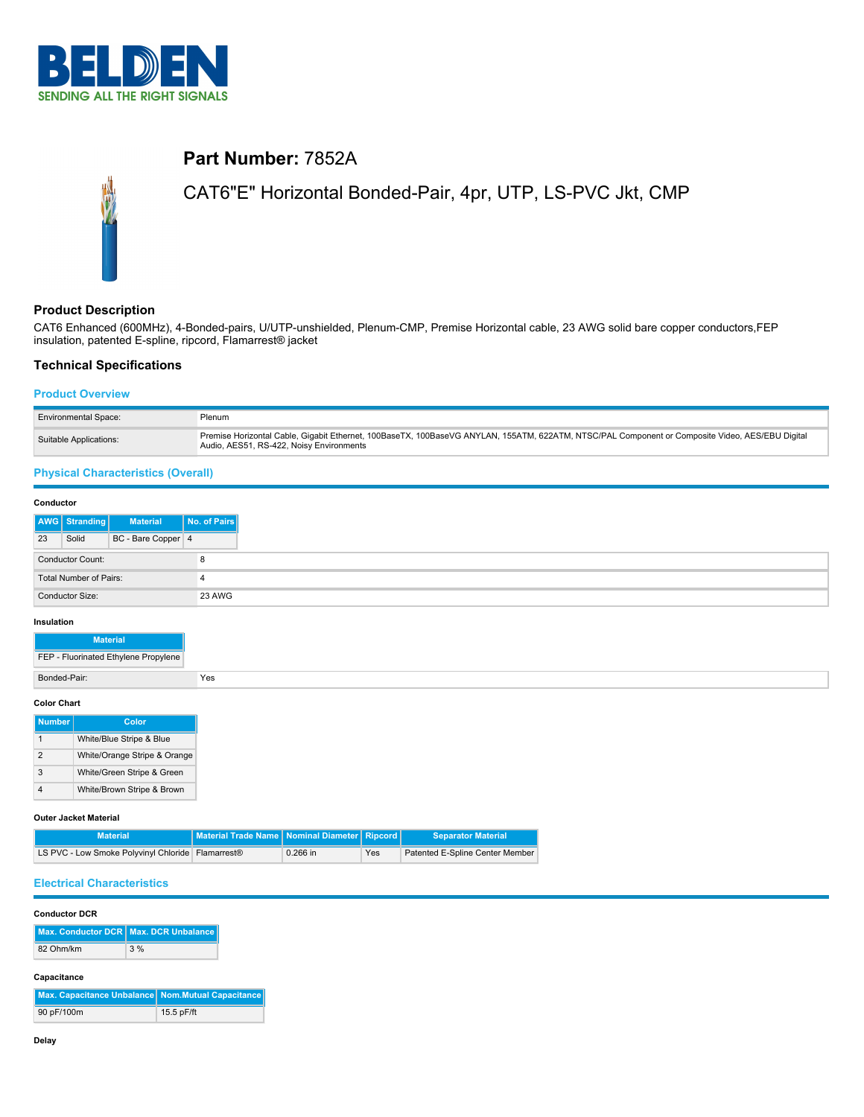

# **Part Number:** 7852A

# CAT6"E" Horizontal Bonded-Pair, 4pr, UTP, LS-PVC Jkt, CMP

## **Product Description**

CAT6 Enhanced (600MHz), 4-Bonded-pairs, U/UTP-unshielded, Plenum-CMP, Premise Horizontal cable, 23 AWG solid bare copper conductors,FEP insulation, patented E-spline, ripcord, Flamarrest® jacket

### **Technical Specifications**

#### **Product Overview**

| <b>Environmental Space:</b> | Plenum                                                                                                                                                                                      |
|-----------------------------|---------------------------------------------------------------------------------------------------------------------------------------------------------------------------------------------|
| Suitable Applications:      | Premise Horizontal Cable, Gigabit Ethernet, 100BaseTX, 100BaseVG ANYLAN, 155ATM, 622ATM, NTSC/PAL Component or Composite Video, AES/EBU Digital<br>Audio, AES51, RS-422, Noisy Environments |

## **Physical Characteristics (Overall)**

| Conductor               |               |                    |              |
|-------------------------|---------------|--------------------|--------------|
|                         | AWG Stranding | <b>Material</b>    | No. of Pairs |
| 23                      | Solid         | BC - Bare Copper 4 |              |
| <b>Conductor Count:</b> |               |                    |              |
| Total Number of Pairs:  |               |                    |              |
| Conductor Size:         |               | <b>23 AWG</b>      |              |

#### **Insulation**

#### **Color Chart**

| <b>Number</b> | Color                        |
|---------------|------------------------------|
|               | White/Blue Stripe & Blue     |
| 2             | White/Orange Stripe & Orange |
| 3             | White/Green Stripe & Green   |
|               | White/Brown Stripe & Brown   |

#### **Outer Jacket Material**

| <b>Material</b>                                               | <sup>l</sup> l Material Trade Name   Nominal Diameter   Ripcord   . |            |     | <b>Separator Material</b>       |
|---------------------------------------------------------------|---------------------------------------------------------------------|------------|-----|---------------------------------|
| LS PVC - Low Smoke Polyvinyl Chloride Flamarrest <sup>®</sup> |                                                                     | $0.266$ in | Yes | Patented E-Spline Center Member |

## **Electrical Characteristics**

### **Conductor DCR**

| Max. Conductor DCR Max. DCR Unbalance |       |
|---------------------------------------|-------|
| 82 Ohm/km                             | $3\%$ |

## **Capacitance**

| Max. Capacitance Unbalance Nom.Mutual Capacitance |            |
|---------------------------------------------------|------------|
| 90 pF/100m                                        | 15.5 pF/ft |

 $\sim$ 

 $\sim$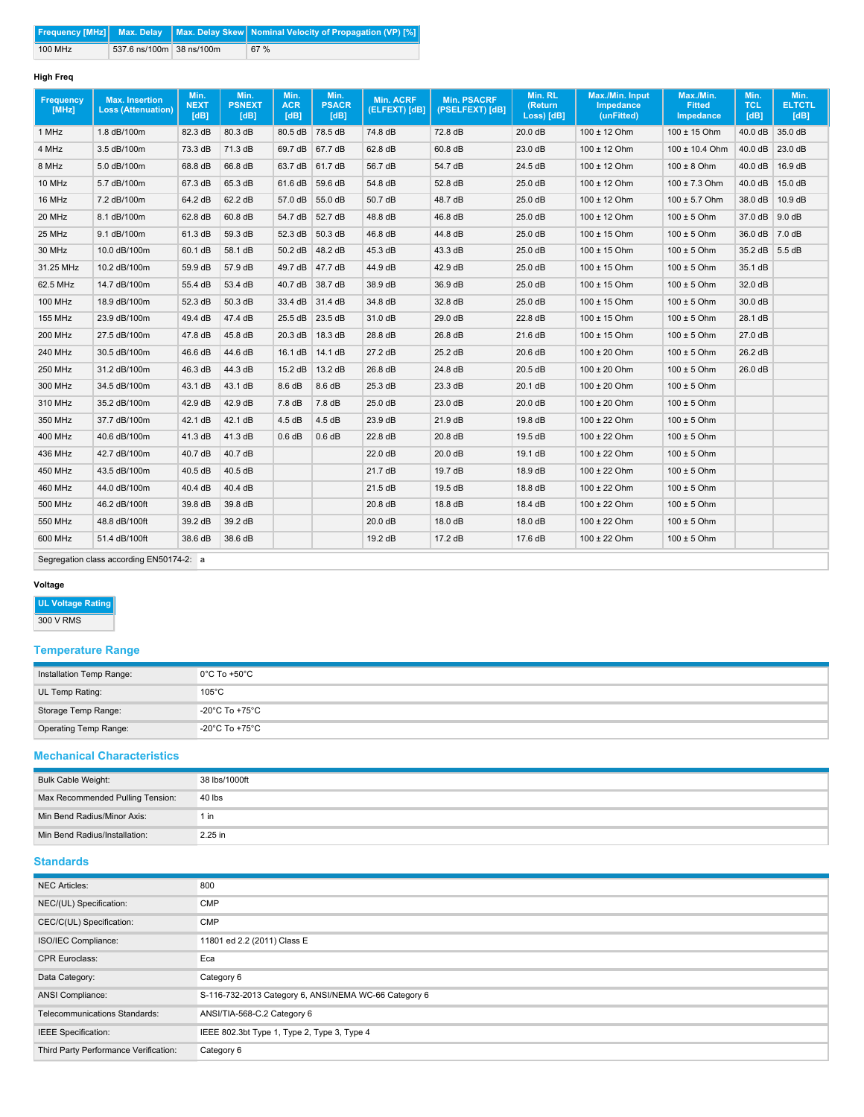|         |                          | <b>Frequency [MHz]</b> Max. Delay Max. Delay Skew   Nominal Velocity of Propagation (VP) [%] |
|---------|--------------------------|----------------------------------------------------------------------------------------------|
| 100 MHz | 537.6 ns/100m 38 ns/100m | 67 %                                                                                         |

# **High Freq**

| <b>Frequency</b><br>[MHz] | <b>Max. Insertion</b><br><b>Loss (Attenuation)</b> | Min.<br><b>NEXT</b><br>[dB] | Min.<br><b>PSNEXT</b><br>[dB] | Min.<br><b>ACR</b><br>[dB] | Min.<br><b>PSACR</b><br>[dB] | Min. ACRF<br>(ELFEXT) [dB] | <b>Min. PSACRF</b><br>(PSELFEXT) [dB] | Min. RL<br>(Return<br>Loss) [dB] | Max./Min. Input<br><b>Impedance</b><br>(unFitted) | Max./Min.<br><b>Fitted</b><br>Impedance | Min.<br><b>TCL</b><br>[dB] | Min.<br><b>ELTCTL</b><br>[dB] |
|---------------------------|----------------------------------------------------|-----------------------------|-------------------------------|----------------------------|------------------------------|----------------------------|---------------------------------------|----------------------------------|---------------------------------------------------|-----------------------------------------|----------------------------|-------------------------------|
| 1 MHz                     | 1.8 dB/100m                                        | 82.3 dB                     | 80.3 dB                       |                            | 80.5 dB 78.5 dB              | 74.8 dB                    | 72.8 dB                               | 20.0 dB                          | $100 \pm 12$ Ohm                                  | $100 \pm 15$ Ohm                        | 40.0 dB                    | 35.0 dB                       |
| 4 MHz                     | 3.5 dB/100m                                        | 73.3 dB                     | 71.3 dB                       | 69.7 dB                    | 67.7 dB                      | 62.8 dB                    | 60.8 dB                               | 23.0 dB                          | $100 \pm 12$ Ohm                                  | 100 ± 10.4 Ohm                          | 40.0 dB                    | 23.0 dB                       |
| 8 MHz                     | 5.0 dB/100m                                        | 68.8 dB                     | 66.8 dB                       |                            | 63.7 dB 61.7 dB              | 56.7 dB                    | 54.7 dB                               | 24.5 dB                          | 100 ± 12 Ohm                                      | $100 \pm 8$ Ohm                         | 40.0 dB                    | 16.9 dB                       |
| 10 MHz                    | 5.7 dB/100m                                        | 67.3 dB                     | 65.3 dB                       | 61.6 dB                    | 59.6 dB                      | 54.8 dB                    | 52.8 dB                               | 25.0 dB                          | $100 \pm 12$ Ohm                                  | $100 \pm 7.3$ Ohm                       | 40.0 dB                    | 15.0 dB                       |
| 16 MHz                    | 7.2 dB/100m                                        | 64.2 dB                     | 62.2 dB                       | 57.0 dB                    | 55.0 dB                      | 50.7 dB                    | 48.7 dB                               | 25.0 dB                          | $100 \pm 12$ Ohm                                  | $100 \pm 5.7$ Ohm                       | 38.0 dB                    | 10.9 dB                       |
| 20 MHz                    | 8.1 dB/100m                                        | 62.8 dB                     | 60.8 dB                       | 54.7 dB                    | 52.7 dB                      | 48.8 dB                    | 46.8 dB                               | 25.0 dB                          | 100 ± 12 Ohm                                      | $100 \pm 5$ Ohm                         | 37.0 dB                    | 9.0 dB                        |
| 25 MHz                    | 9.1 dB/100m                                        | 61.3 dB                     | 59.3 dB                       | 52.3 dB                    | 50.3 dB                      | 46.8 dB                    | 44.8 dB                               | 25.0 dB                          | $100 \pm 15$ Ohm                                  | $100 \pm 5$ Ohm                         | 36.0 dB 7.0 dB             |                               |
| 30 MHz                    | 10.0 dB/100m                                       | 60.1 dB                     | 58.1 dB                       | 50.2 dB                    | 48.2 dB                      | 45.3 dB                    | 43.3 dB                               | 25.0 dB                          | $100 \pm 15$ Ohm                                  | $100 \pm 5$ Ohm                         | 35.2 dB 5.5 dB             |                               |
| 31.25 MHz                 | 10.2 dB/100m                                       | 59.9 dB                     | 57.9 dB                       | 49.7 dB                    | 47.7 dB                      | 44.9 dB                    | 42.9 dB                               | 25.0 dB                          | $100 \pm 15$ Ohm                                  | $100 \pm 5$ Ohm                         | 35.1 dB                    |                               |
| 62.5 MHz                  | 14.7 dB/100m                                       | 55.4 dB                     | 53.4 dB                       |                            | 40.7 dB 38.7 dB              | 38.9 dB                    | 36.9 dB                               | 25.0 dB                          | $100 \pm 15$ Ohm                                  | $100 \pm 5$ Ohm                         | 32.0 dB                    |                               |
| <b>100 MHz</b>            | 18.9 dB/100m                                       | 52.3 dB                     | 50.3 dB                       |                            | 33.4 dB 31.4 dB              | 34.8 dB                    | 32.8 dB                               | 25.0 dB                          | $100 \pm 15$ Ohm                                  | $100 \pm 5$ Ohm                         | 30.0 dB                    |                               |
| <b>155 MHz</b>            | 23.9 dB/100m                                       | 49.4 dB                     | 47.4 dB                       |                            | 25.5 dB 23.5 dB              | 31.0 dB                    | 29.0 dB                               | 22.8 dB                          | $100 \pm 15$ Ohm                                  | $100 \pm 5$ Ohm                         | 28.1 dB                    |                               |
| 200 MHz                   | 27.5 dB/100m                                       | 47.8 dB                     | 45.8 dB                       | 20.3 dB                    | 18.3 dB                      | 28.8 dB                    | 26.8 dB                               | 21.6 dB                          | 100 ± 15 Ohm                                      | $100 \pm 5$ Ohm                         | 27.0 dB                    |                               |
| 240 MHz                   | 30.5 dB/100m                                       | 46.6 dB                     | 44.6 dB                       | 16.1 dB                    | 14.1 dB                      | 27.2 dB                    | 25.2 dB                               | 20.6 dB                          | $100 \pm 20$ Ohm                                  | $100 \pm 5$ Ohm                         | 26.2 dB                    |                               |
| 250 MHz                   | 31.2 dB/100m                                       | 46.3 dB                     | 44.3 dB                       | 15.2 dB                    | 13.2 dB                      | 26.8 dB                    | 24.8 dB                               | 20.5 dB                          | $100 \pm 20$ Ohm                                  | $100 \pm 5$ Ohm                         | 26.0 dB                    |                               |
| 300 MHz                   | 34.5 dB/100m                                       | 43.1 dB                     | 43.1 dB                       | 8.6 dB                     | 8.6 dB                       | 25.3 dB                    | 23.3 dB                               | 20.1 dB                          | $100 \pm 20$ Ohm                                  | $100 \pm 5$ Ohm                         |                            |                               |
| 310 MHz                   | 35.2 dB/100m                                       | 42.9 dB                     | 42.9 dB                       | 7.8 dB                     | 7.8 dB                       | 25.0 dB                    | 23.0 dB                               | 20.0 dB                          | $100 \pm 20$ Ohm                                  | $100 \pm 5$ Ohm                         |                            |                               |
| 350 MHz                   | 37.7 dB/100m                                       | 42.1 dB                     | 42.1 dB                       | 4.5dB                      | 4.5dB                        | 23.9 dB                    | 21.9 dB                               | 19.8 dB                          | $100 \pm 22$ Ohm                                  | $100 \pm 5$ Ohm                         |                            |                               |
| 400 MHz                   | 40.6 dB/100m                                       | 41.3 dB                     | 41.3 dB                       | 0.6 dB                     | 0.6 dB                       | 22.8 dB                    | 20.8 dB                               | 19.5 dB                          | $100 \pm 22$ Ohm                                  | $100 \pm 5$ Ohm                         |                            |                               |
| 436 MHz                   | 42.7 dB/100m                                       | 40.7 dB                     | 40.7 dB                       |                            |                              | 22.0 dB                    | 20.0 dB                               | 19.1 dB                          | $100 \pm 22$ Ohm                                  | $100 \pm 5$ Ohm                         |                            |                               |
| 450 MHz                   | 43.5 dB/100m                                       | 40.5 dB                     | 40.5 dB                       |                            |                              | 21.7 dB                    | 19.7 dB                               | 18.9 dB                          | $100 \pm 22$ Ohm                                  | $100 \pm 5$ Ohm                         |                            |                               |
| 460 MHz                   | 44.0 dB/100m                                       | 40.4 dB                     | 40.4 dB                       |                            |                              | 21.5 dB                    | 19.5 dB                               | 18.8 dB                          | $100 \pm 22$ Ohm                                  | $100 \pm 5$ Ohm                         |                            |                               |
| 500 MHz                   | 46.2 dB/100ft                                      | 39.8 dB                     | 39.8 dB                       |                            |                              | 20.8 dB                    | 18.8 dB                               | 18.4 dB                          | $100 \pm 22$ Ohm                                  | $100 \pm 5$ Ohm                         |                            |                               |
| 550 MHz                   | 48.8 dB/100ft                                      | 39.2 dB                     | 39.2 dB                       |                            |                              | 20.0 dB                    | 18.0 dB                               | 18.0 dB                          | $100 \pm 22$ Ohm                                  | $100 \pm 5$ Ohm                         |                            |                               |
| 600 MHz                   | 51.4 dB/100ft                                      | 38.6 dB                     | 38.6 dB                       |                            |                              | $19.2 \text{ dB}$          | 17.2 dB                               | 17.6 dB                          | $100 \pm 22$ Ohm                                  | $100 \pm 5$ Ohm                         |                            |                               |
|                           |                                                    |                             |                               |                            |                              |                            |                                       |                                  |                                                   |                                         |                            |                               |

Segregation class according EN50174-2: a

### **Voltage**

**UL Voltage Rating**

300 V RMS

## **Temperature Range**

| Installation Temp Range: | $0^{\circ}$ C To +50 $^{\circ}$ C   |
|--------------------------|-------------------------------------|
| UL Temp Rating:          | $105^{\circ}$ C                     |
| Storage Temp Range:      | $-20^{\circ}$ C To +75 $^{\circ}$ C |
| Operating Temp Range:    | $-20^{\circ}$ C To +75 $^{\circ}$ C |

### **Mechanical Characteristics**

| Bulk Cable Weight:               | 38 lbs/1000ft |
|----------------------------------|---------------|
| Max Recommended Pulling Tension: | 40 lbs        |
| Min Bend Radius/Minor Axis:      | 1 in          |
| Min Bend Radius/Installation:    | 2.25 in       |

## **Standards**

| <b>NEC Articles:</b>                  | 800                                                   |
|---------------------------------------|-------------------------------------------------------|
| NEC/(UL) Specification:               | <b>CMP</b>                                            |
| CEC/C(UL) Specification:              | <b>CMP</b>                                            |
| ISO/IEC Compliance:                   | 11801 ed 2.2 (2011) Class E                           |
| <b>CPR Euroclass:</b>                 | Eca                                                   |
| Data Category:                        | Category 6                                            |
| ANSI Compliance:                      | S-116-732-2013 Category 6, ANSI/NEMA WC-66 Category 6 |
| Telecommunications Standards:         | ANSI/TIA-568-C.2 Category 6                           |
| <b>IEEE</b> Specification:            | IEEE 802.3bt Type 1, Type 2, Type 3, Type 4           |
| Third Party Performance Verification: | Category 6                                            |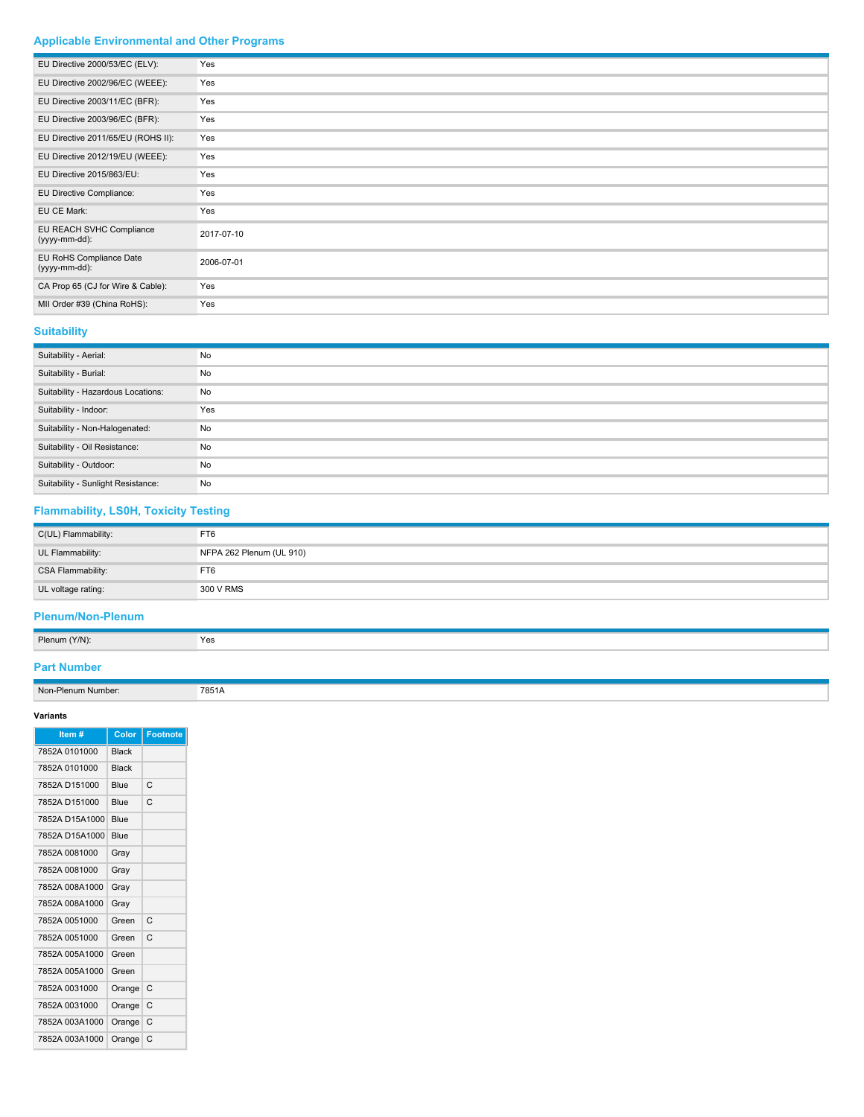# **Applicable Environmental and Other Programs**

| EU Directive 2000/53/EC (ELV):            | Yes        |
|-------------------------------------------|------------|
| EU Directive 2002/96/EC (WEEE):           | Yes        |
| EU Directive 2003/11/EC (BFR):            | Yes        |
| EU Directive 2003/96/EC (BFR):            | Yes        |
| EU Directive 2011/65/EU (ROHS II):        | Yes        |
| EU Directive 2012/19/EU (WEEE):           | Yes        |
| EU Directive 2015/863/EU:                 | Yes        |
| EU Directive Compliance:                  | Yes        |
| EU CE Mark:                               | Yes        |
| EU REACH SVHC Compliance<br>(yyyy-mm-dd): | 2017-07-10 |
| EU RoHS Compliance Date<br>(yyyy-mm-dd):  | 2006-07-01 |
| CA Prop 65 (CJ for Wire & Cable):         | Yes        |
| MII Order #39 (China RoHS):               | Yes        |

# **Suitability**

| Suitability - Aerial:              | No  |
|------------------------------------|-----|
| Suitability - Burial:              | No  |
| Suitability - Hazardous Locations: | No  |
| Suitability - Indoor:              | Yes |
| Suitability - Non-Halogenated:     | No  |
| Suitability - Oil Resistance:      | No  |
| Suitability - Outdoor:             | No  |
| Suitability - Sunlight Resistance: | No  |

# **Flammability, LS0H, Toxicity Testing**

| C(UL) Flammability: | FT6                      |
|---------------------|--------------------------|
| UL Flammability:    | NFPA 262 Plenum (UL 910) |
| CSA Flammability:   | FT6                      |
| UL voltage rating:  | 300 V RMS                |

## **Plenum/Non-Plenum**

| Plenum (Y/N):<br>Yes |  |
|----------------------|--|

## **Part Number**

Non-Plenum Number: 7851A

# **Variants**

| Item #         | Color        | <b>Footnote</b> |
|----------------|--------------|-----------------|
| 7852A 0101000  | <b>Black</b> |                 |
| 7852A 0101000  | <b>Black</b> |                 |
| 7852A D151000  | Blue         | C               |
| 7852A D151000  | Blue         | C               |
| 7852A D15A1000 | Blue         |                 |
| 7852A D15A1000 | Blue         |                 |
| 7852A 0081000  | Gray         |                 |
| 7852A 0081000  | Gray         |                 |
| 7852A 008A1000 | Gray         |                 |
| 7852A 008A1000 | Gray         |                 |
| 7852A 0051000  | Green        | C               |
| 7852A 0051000  | Green        | C               |
| 7852A 005A1000 | Green        |                 |
| 7852A 005A1000 | Green        |                 |
| 7852A 0031000  | Orange       | C               |
| 7852A 0031000  | Orange       | C               |
| 7852A 003A1000 | Orange       | C               |
| 7852A 003A1000 | Orange       | C               |
|                |              |                 |